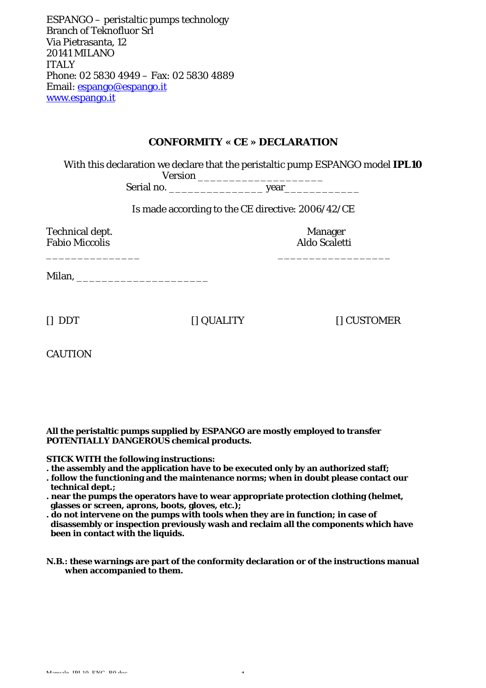ESPANGO – peristaltic pumps technology Branch of Teknofluor Srl Via Pietrasanta, 12 20141 MILANO ITALY Phone: 02 5830 4949 – Fax: 02 5830 4889 Email: espango@espango.it www.espango.it

## **CONFORMITY « CE » DECLARATION**

With this declaration we declare that the peristaltic pump ESPANGO model **IPL10**

Version \_\_\_\_\_\_\_\_\_\_\_\_\_\_\_\_\_\_\_\_ Serial no. The series of the series of the series of the series of the series of the series of the series of the series of the series of the series of the series of the series of the series of the series of the series of t

Is made according to the CE directive: 2006/42/CE

Technical dept. Manager Fabio Miccolis and a series and a series and a series and a series and a series and a series and a series and  $\lambda$ 

\_\_\_\_\_\_\_\_\_\_\_\_\_\_\_ \_\_\_\_\_\_\_\_\_\_\_\_\_\_\_\_\_\_

Milan, \_\_\_\_\_\_\_\_\_\_\_\_\_\_\_\_\_\_\_\_\_

[] DDT [] QUALITY [] CUSTOMER

CAUTION

#### **All the peristaltic pumps supplied by ESPANGO are mostly employed to transfer POTENTIALLY DANGEROUS chemical products.**

#### **STICK WITH the following instructions:**

- **. the assembly and the application have to be executed only by an authorized staff;**
- **. follow the functioning and the maintenance norms; when in doubt please contact our technical dept.;**
- **. near the pumps the operators have to wear appropriate protection clothing (helmet, glasses or screen, aprons, boots, gloves, etc.);**
- **. do not intervene on the pumps with tools when they are in function; in case of disassembly or inspection previously wash and reclaim all the components which have been in contact with the liquids.**
- **N.B.: these warnings are part of the conformity declaration or of the instructions manual when accompanied to them.**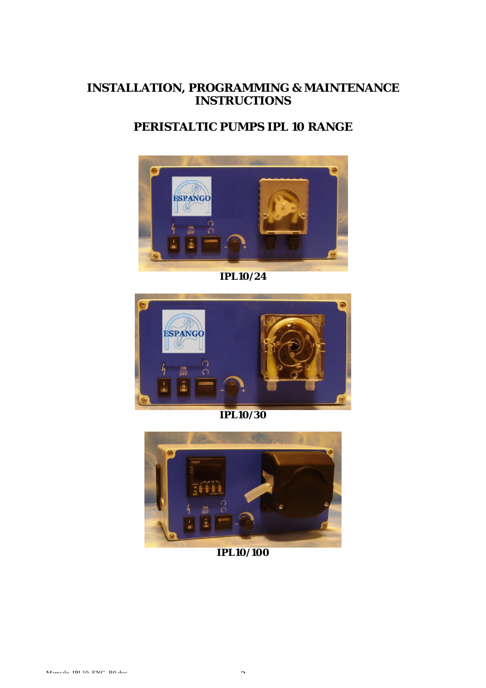# **INSTALLATION, PROGRAMMING & MAINTENANCE INSTRUCTIONS**

# **PERISTALTIC PUMPS IPL 10 RANGE**



**IPL10/24**



**IPL10/30**



**IPL10/100**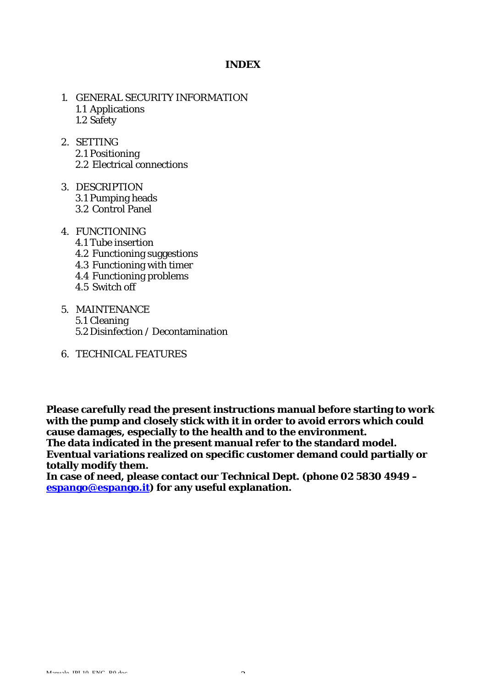## **INDEX**

- 1. GENERAL SECURITY INFORMATION 1.1 Applications 1.2 Safety
- 2. SETTING 2.1 Positioning 2.2 Electrical connections
- 3. DESCRIPTION 3.1 Pumping heads 3.2 Control Panel
- 4. FUNCTIONING
	- 4.1 Tube insertion
	- 4.2 Functioning suggestions
	- 4.3 Functioning with timer
	- 4.4 Functioning problems
	- 4.5 Switch off
- 5. MAINTENANCE 5.1 Cleaning 5.2 Disinfection / Decontamination
- 6. TECHNICAL FEATURES

**Please carefully read the present instructions manual before starting to work with the pump and closely stick with it in order to avoid errors which could cause damages, especially to the health and to the environment. The data indicated in the present manual refer to the standard model.** 

**Eventual variations realized on specific customer demand could partially or totally modify them.**

**In case of need, please contact our Technical Dept. (phone 02 5830 4949 – espango@espango.it) for any useful explanation.**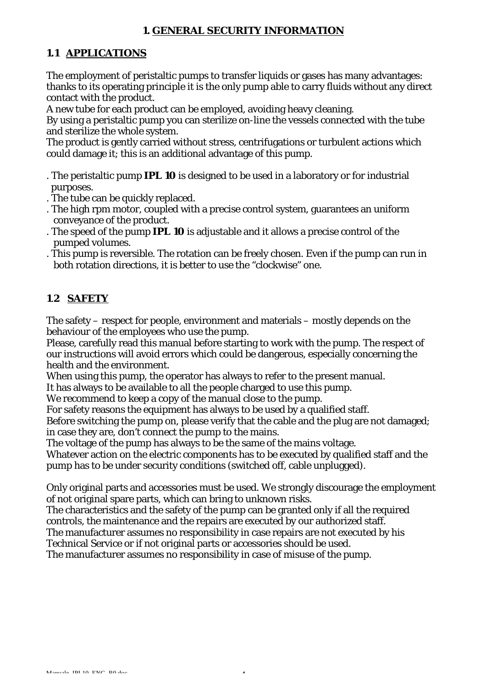# **1. GENERAL SECURITY INFORMATION**

# **1.1 APPLICATIONS**

The employment of peristaltic pumps to transfer liquids or gases has many advantages: thanks to its operating principle it is the only pump able to carry fluids without any direct contact with the product.

A new tube for each product can be employed, avoiding heavy cleaning.

By using a peristaltic pump you can sterilize on-line the vessels connected with the tube and sterilize the whole system.

The product is gently carried without stress, centrifugations or turbulent actions which could damage it; this is an additional advantage of this pump.

- . The peristaltic pump **IPL 10** is designed to be used in a laboratory or for industrial purposes.
- . The tube can be quickly replaced.
- . The high rpm motor, coupled with a precise control system, guarantees an uniform conveyance of the product.
- . The speed of the pump **IPL 10** is adjustable and it allows a precise control of the pumped volumes.
- . This pump is reversible. The rotation can be freely chosen. Even if the pump can run in both rotation directions, it is better to use the "clockwise" one.

# **1**.**2 SAFETY**

The safety – respect for people, environment and materials – mostly depends on the behaviour of the employees who use the pump.

Please, carefully read this manual before starting to work with the pump. The respect of our instructions will avoid errors which could be dangerous, especially concerning the health and the environment.

When using this pump, the operator has always to refer to the present manual.

It has always to be available to all the people charged to use this pump.

We recommend to keep a copy of the manual close to the pump.

For safety reasons the equipment has always to be used by a qualified staff.

Before switching the pump on, please verify that the cable and the plug are not damaged; in case they are, don't connect the pump to the mains.

The voltage of the pump has always to be the same of the mains voltage.

Whatever action on the electric components has to be executed by qualified staff and the pump has to be under security conditions (switched off, cable unplugged).

Only original parts and accessories must be used. We strongly discourage the employment of not original spare parts, which can bring to unknown risks.

The characteristics and the safety of the pump can be granted only if all the required controls, the maintenance and the repairs are executed by our authorized staff.

The manufacturer assumes no responsibility in case repairs are not executed by his Technical Service or if not original parts or accessories should be used.

The manufacturer assumes no responsibility in case of misuse of the pump.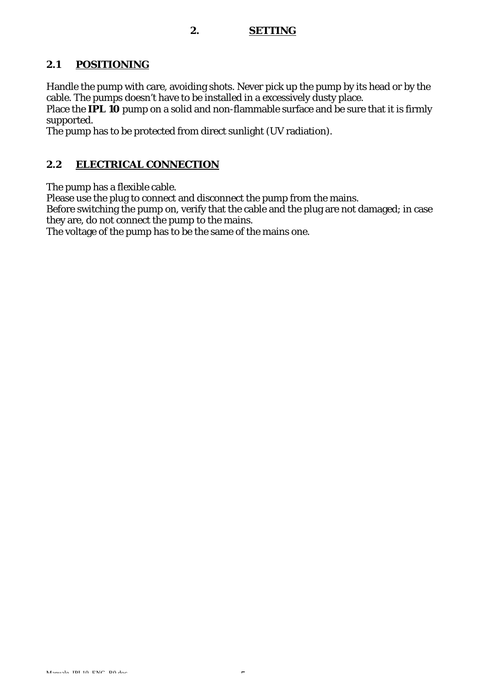## **2. SETTING**

# **2.1 POSITIONING**

Handle the pump with care, avoiding shots. Never pick up the pump by its head or by the cable. The pumps doesn't have to be installed in a excessively dusty place.

Place the **IPL 10** pump on a solid and non-flammable surface and be sure that it is firmly supported.

The pump has to be protected from direct sunlight (UV radiation).

# **2.2 ELECTRICAL CONNECTION**

The pump has a flexible cable.

Please use the plug to connect and disconnect the pump from the mains.

Before switching the pump on, verify that the cable and the plug are not damaged; in case they are, do not connect the pump to the mains.

The voltage of the pump has to be the same of the mains one.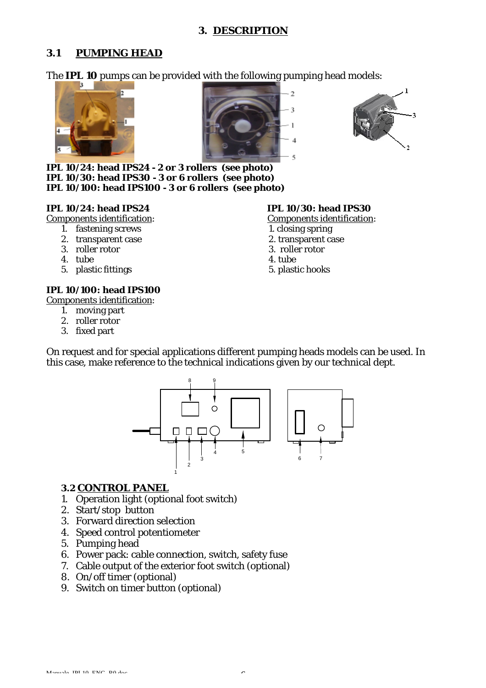## **3. DESCRIPTION**

# **3.1 PUMPING HEAD**

The **IPL 10** pumps can be provided with the following pumping head models:







**IPL 10/24: head IPS24 - 2 or 3 rollers (see photo) IPL 10/30: head IPS30 - 3 or 6 rollers (see photo) IPL 10/100: head IPS100 - 3 or 6 rollers (see photo)**

## **IPL 10/24: head IPS24 IPL 10/30: head IPS30**

Components identification: Components identification:

- 1. fastening screws 1. closing spring
- 2. transparent case 2. transparent case 2. transparent case 2. transparent case 3. roller rotor
- 3. roller rotor 3. roller rotor
- 4. tube 4. tube
- 5. plastic fittings 5. plastic hooks

## **IPL 10/100: head IPS100**

Components identification:

- 1. moving part
- 2. roller rotor
- 3. fixed part

- 
- 
- 
- 
- 

On request and for special applications different pumping heads models can be used. In this case, make reference to the technical indications given by our technical dept.



## **3.2 CONTROL PANEL**

- 1. Operation light (optional foot switch)
- 2. Start/stop button
- 3. Forward direction selection
- 4. Speed control potentiometer
- 5. Pumping head
- 6. Power pack: cable connection, switch, safety fuse
- 7. Cable output of the exterior foot switch (optional)
- 8. On/off timer (optional)
- 9. Switch on timer button (optional)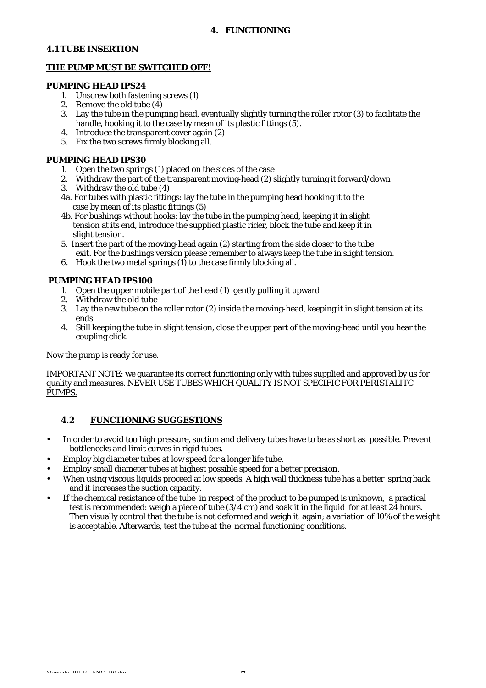### **4.1 TUBE INSERTION**

### **THE PUMP MUST BE SWITCHED OFF!**

#### **PUMPING HEAD IPS24**

- 1. Unscrew both fastening screws (1)
- 2. Remove the old tube  $\left(\frac{3}{4}\right)$ <br>3. Lav the tube in the pum
- Lay the tube in the pumping head, eventually slightly turning the roller rotor (3) to facilitate the handle, hooking it to the case by mean of its plastic fittings (5).
- 4. Introduce the transparent cover again (2)
- 5. Fix the two screws firmly blocking all.

### **PUMPING HEAD IPS30**

- 1. Open the two springs (1) placed on the sides of the case
- 2. Withdraw the part of the transparent moving-head (2) slightly turning it forward/down
- 3. Withdraw the old tube (4)
- 4a. For tubes with plastic fittings: lay the tube in the pumping head hooking it to the case by mean of its plastic fittings (5)
- 4b. For bushings without hooks: lay the tube in the pumping head, keeping it in slight tension at its end, introduce the supplied plastic rider, block the tube and keep it in slight tension.
- 5. Insert the part of the moving-head again (2) starting from the side closer to the tube exit. For the bushings version please remember to always keep the tube in slight tension.
- 6. Hook the two metal springs  $(1)$  to the case firmly blocking all.

## **PUMPING HEAD IPS100**

- 1. Open the upper mobile part of the head (1) gently pulling it upward
- 2. Withdraw the old tube
- 3. Lay the new tube on the roller rotor (2) inside the moving-head, keeping it in slight tension at its ends
- 4. Still keeping the tube in slight tension, close the upper part of the moving-head until you hear the coupling click.

Now the pump is ready for use.

IMPORTANT NOTE: we guarantee its correct functioning only with tubes supplied and approved by us for quality and measures. NEVER USE TUBES WHICH QUALITY IS NOT SPECIFIC FOR PERISTALITC PUMPS.

## **4.2 FUNCTIONING SUGGESTIONS**

- In order to avoid too high pressure, suction and delivery tubes have to be as short as possible. Prevent bottlenecks and limit curves in rigid tubes.
- Employ big diameter tubes at low speed for a longer life tube.
- Employ small diameter tubes at highest possible speed for a better precision.
- When using viscous liquids proceed at low speeds. A high wall thickness tube has a better spring back and it increases the suction capacity.
- If the chemical resistance of the tube in respect of the product to be pumped is unknown, a practical test is recommended: weigh a piece of tube  $(3/4 \text{ cm})$  and soak it in the liquid for at least  $24$  hours. Then visually control that the tube is not deformed and weigh it again; a variation of 10% of the weight is acceptable. Afterwards, test the tube at the normal functioning conditions.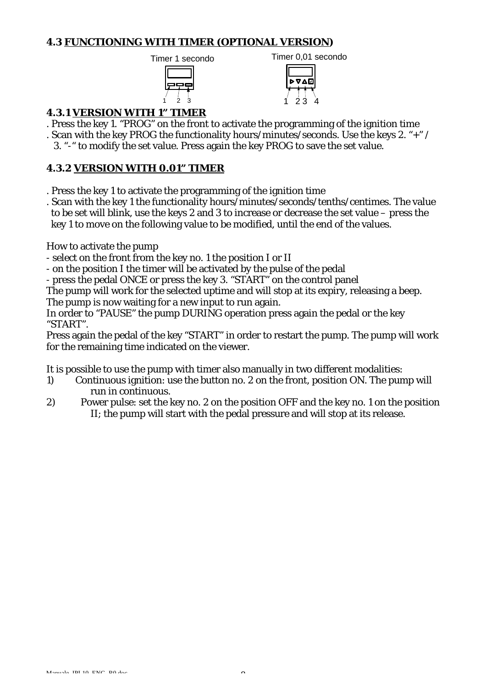# **4.3 FUNCTIONING WITH TIMER (OPTIONAL VERSION)**





# **4.3.1 VERSION WITH 1" TIMER**

- . Press the key 1. "PROG" on the front to activate the programming of the ignition time
- . Scan with the key PROG the functionality hours/minutes/seconds. Use the keys 2. "+" /
	- 3. "-" to modify the set value. Press again the key PROG to save the set value.

## **4.3.2 VERSION WITH 0.01" TIMER**

- . Press the key 1 to activate the programming of the ignition time
- . Scan with the key 1 the functionality hours/minutes/seconds/tenths/centimes. The value to be set will blink, use the keys 2 and 3 to increase or decrease the set value – press the key 1 to move on the following value to be modified, until the end of the values.

How to activate the pump

- select on the front from the key no. 1 the position I or II

- on the position I the timer will be activated by the pulse of the pedal

- press the pedal ONCE or press the key 3. "START" on the control panel

The pump will work for the selected uptime and will stop at its expiry, releasing a beep. The pump is now waiting for a new input to run again.

In order to "PAUSE" the pump DURING operation press again the pedal or the key "START".

Press again the pedal of the key "START" in order to restart the pump. The pump will work for the remaining time indicated on the viewer.

It is possible to use the pump with timer also manually in two different modalities:

- 1) Continuous ignition: use the button no. 2 on the front, position ON. The pump will run in continuous.
- 2) Power pulse: set the key no. 2 on the position OFF and the key no. 1 on the position II; the pump will start with the pedal pressure and will stop at its release.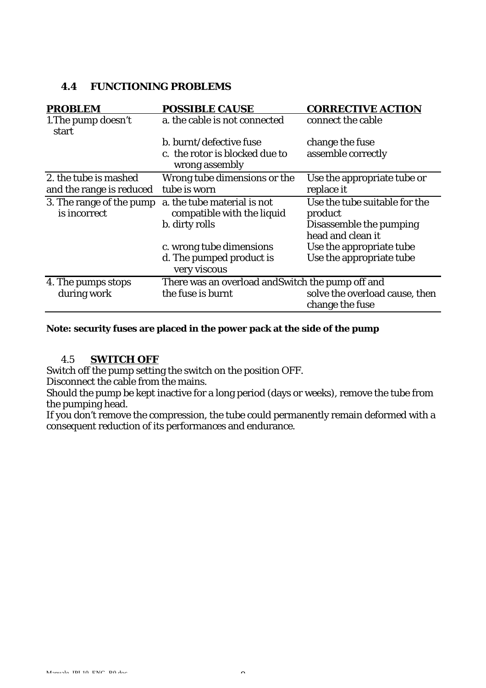# **4.4 FUNCTIONING PROBLEMS**

| <b>PROBLEM</b>               | <b>POSSIBLE CAUSE</b>                             | <b>CORRECTIVE ACTION</b>                          |
|------------------------------|---------------------------------------------------|---------------------------------------------------|
| 1. The pump doesn't<br>start | a. the cable is not connected                     | connect the cable                                 |
|                              | b. burnt/defective fuse                           | change the fuse                                   |
|                              | c. the rotor is blocked due to<br>wrong assembly  | assemble correctly                                |
| 2. the tube is mashed        | Wrong tube dimensions or the                      | Use the appropriate tube or                       |
| and the range is reduced     | tube is worn                                      | replace it                                        |
| 3. The range of the pump     | a. the tube material is not                       | Use the tube suitable for the                     |
| is incorrect                 | compatible with the liquid                        | product                                           |
|                              | b. dirty rolls                                    | Disassemble the pumping<br>head and clean it      |
|                              | c. wrong tube dimensions                          | Use the appropriate tube                          |
|                              | d. The pumped product is<br>very viscous          | Use the appropriate tube                          |
| 4. The pumps stops           | There was an overload and Switch the pump off and |                                                   |
| during work                  | the fuse is burnt                                 | solve the overload cause, then<br>change the fuse |
|                              |                                                   |                                                   |

## **Note: security fuses are placed in the power pack at the side of the pump**

## 4.5 **SWITCH OFF**

Switch off the pump setting the switch on the position OFF.

Disconnect the cable from the mains.

Should the pump be kept inactive for a long period (days or weeks), remove the tube from the pumping head.

If you don't remove the compression, the tube could permanently remain deformed with a consequent reduction of its performances and endurance.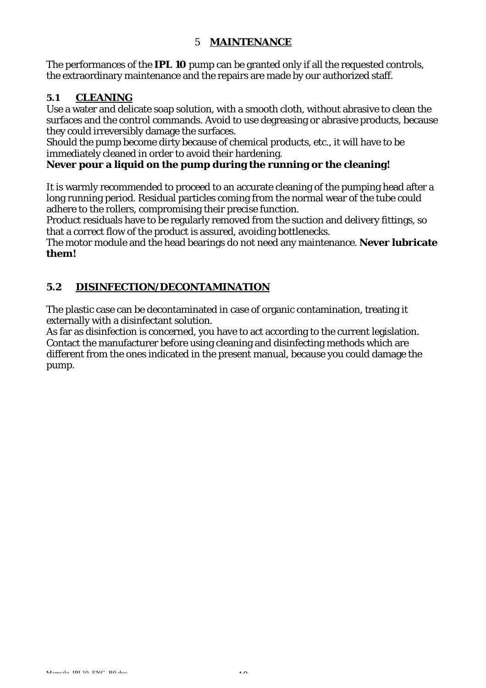# 5 **MAINTENANCE**

The performances of the **IPL 10** pump can be granted only if all the requested controls, the extraordinary maintenance and the repairs are made by our authorized staff.

# **5.1 CLEANING**

Use a water and delicate soap solution, with a smooth cloth, without abrasive to clean the surfaces and the control commands. Avoid to use degreasing or abrasive products, because they could irreversibly damage the surfaces.

Should the pump become dirty because of chemical products, etc., it will have to be immediately cleaned in order to avoid their hardening.

# **Never pour a liquid on the pump during the running or the cleaning!**

It is warmly recommended to proceed to an accurate cleaning of the pumping head after a long running period. Residual particles coming from the normal wear of the tube could adhere to the rollers, compromising their precise function.

Product residuals have to be regularly removed from the suction and delivery fittings, so that a correct flow of the product is assured, avoiding bottlenecks.

The motor module and the head bearings do not need any maintenance. **Never lubricate them!**

# **5.2 DISINFECTION/DECONTAMINATION**

The plastic case can be decontaminated in case of organic contamination, treating it externally with a disinfectant solution.

As far as disinfection is concerned, you have to act according to the current legislation. Contact the manufacturer before using cleaning and disinfecting methods which are different from the ones indicated in the present manual, because you could damage the pump.